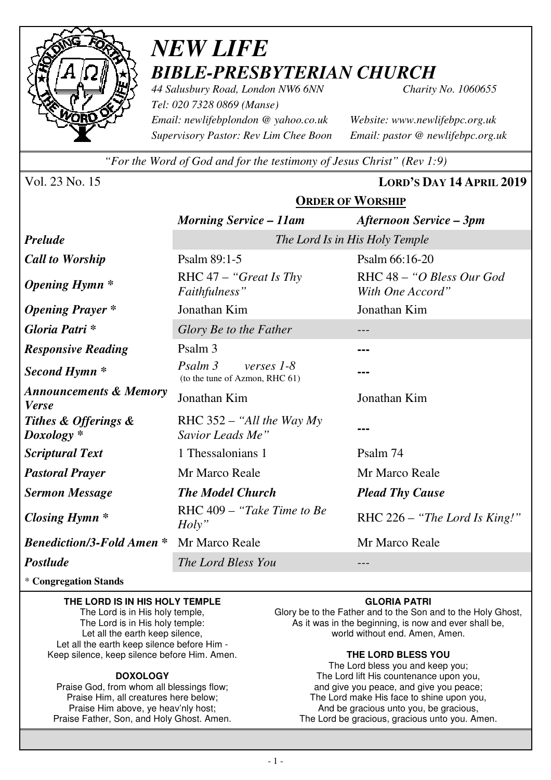

# *NEW LIFE BIBLE-PRESBYTERIAN CHURCH*

*44 Salusbury Road, London NW6 6NN Charity No. 1060655 Tel: 020 7328 0869 (Manse) Email: newlifebplondon @ yahoo.co.uk Website: www.newlifebpc.org.uk Supervisory Pastor: Rev Lim Chee Boon Email: pastor @ newlifebpc.org.uk* 

*"For the Word of God and for the testimony of Jesus Christ" (Rev 1:9)*

**ORDER OF WORSHIP**

Vol. 23 No. 15 **LORD'S DAY 14 APRIL 2019**

|                                                   | <b>Morning Service – 11am</b>                             | Afternoon Service – 3pm                       |  |
|---------------------------------------------------|-----------------------------------------------------------|-----------------------------------------------|--|
| <b>Prelude</b>                                    | The Lord Is in His Holy Temple                            |                                               |  |
| <b>Call to Worship</b>                            | Psalm 89:1-5                                              | Psalm 66:16-20                                |  |
| <b>Opening Hymn</b> *                             | RHC $47 -$ "Great Is Thy"<br>Faithfulness"                | RHC 48 - "O Bless Our God<br>With One Accord" |  |
| <b>Opening Prayer</b> *                           | Jonathan Kim                                              | Jonathan Kim                                  |  |
| Gloria Patri *                                    | Glory Be to the Father                                    |                                               |  |
| <b>Responsive Reading</b>                         | Psalm 3                                                   |                                               |  |
| Second Hymn <sup>*</sup>                          | Psalm 3<br>verses $1-8$<br>(to the tune of Azmon, RHC 61) |                                               |  |
| <b>Announcements &amp; Memory</b><br><b>Verse</b> | Jonathan Kim                                              | Jonathan Kim                                  |  |
| Tithes & Offerings &<br>Doxology <sup>*</sup>     | RHC $352 -$ "All the Way My<br>Savior Leads Me"           |                                               |  |
| <b>Scriptural Text</b>                            | 1 Thessalonians 1                                         | Psalm 74                                      |  |
| <b>Pastoral Prayer</b>                            | Mr Marco Reale                                            | Mr Marco Reale                                |  |
| <b>Sermon Message</b>                             | <b>The Model Church</b>                                   | <b>Plead Thy Cause</b>                        |  |
| <b>Closing Hymn</b> *                             | RHC 409 – "Take Time to Be<br>$Holy$ "                    | RHC $226 -$ "The Lord Is King!"               |  |
| <b>Benediction/3-Fold Amen *</b>                  | Mr Marco Reale                                            | Mr Marco Reale                                |  |
| Postlude                                          | The Lord Bless You                                        |                                               |  |

\* **Congregation Stands** 

**THE LORD IS IN HIS HOLY TEMPLE**  The Lord is in His holy temple,

The Lord is in His holy temple: Let all the earth keep silence, Let all the earth keep silence before Him - Keep silence, keep silence before Him. Amen.

#### **DOXOLOGY**

Praise God, from whom all blessings flow; Praise Him, all creatures here below; Praise Him above, ye heav'nly host; Praise Father, Son, and Holy Ghost. Amen.

#### **GLORIA PATRI**

Glory be to the Father and to the Son and to the Holy Ghost, As it was in the beginning, is now and ever shall be, world without end. Amen, Amen.

#### **THE LORD BLESS YOU**

The Lord bless you and keep you; The Lord lift His countenance upon you, and give you peace, and give you peace; The Lord make His face to shine upon you, And be gracious unto you, be gracious, The Lord be gracious, gracious unto you. Amen.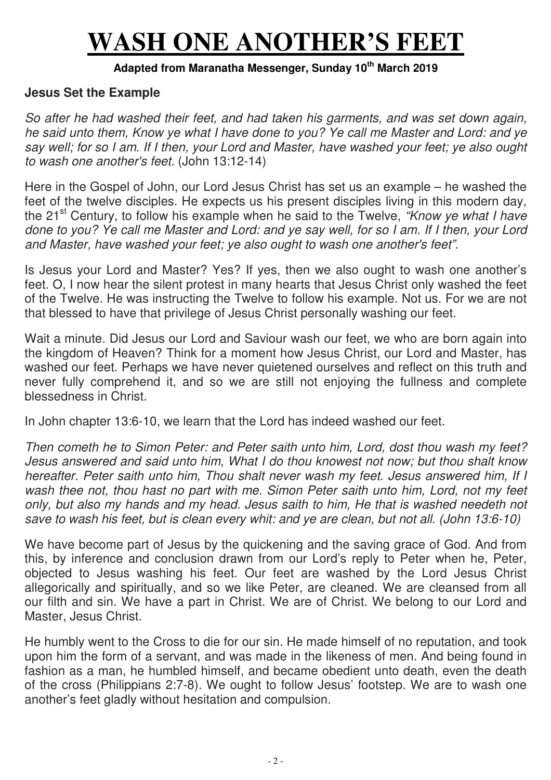# **WASH ONE ANOTHER'S FEET**

## **Adapted from Maranatha Messenger, Sunday 10th March 2019**

#### **Jesus Set the Example**

*So after he had washed their feet, and had taken his garments, and was set down again, he said unto them, Know ye what I have done to you? Ye call me Master and Lord: and ye say well; for so I am. If I then, your Lord and Master, have washed your feet; ye also ought to wash one another's feet.* (John 13:12-14)

Here in the Gospel of John, our Lord Jesus Christ has set us an example – he washed the feet of the twelve disciples. He expects us his present disciples living in this modern day, the 21<sup>st</sup> Century, to follow his example when he said to the Twelve, "*Know ye what I have done to you? Ye call me Master and Lord: and ye say well, for so I am. If I then, your Lord and Master, have washed your feet; ye also ought to wash one another's feet".* 

Is Jesus your Lord and Master? Yes? If yes, then we also ought to wash one another's feet. O, I now hear the silent protest in many hearts that Jesus Christ only washed the feet of the Twelve. He was instructing the Twelve to follow his example. Not us. For we are not that blessed to have that privilege of Jesus Christ personally washing our feet.

Wait a minute. Did Jesus our Lord and Saviour wash our feet, we who are born again into the kingdom of Heaven? Think for a moment how Jesus Christ, our Lord and Master, has washed our feet. Perhaps we have never quietened ourselves and reflect on this truth and never fully comprehend it, and so we are still not enjoying the fullness and complete blessedness in Christ.

In John chapter 13:6-10, we learn that the Lord has indeed washed our feet.

*Then cometh he to Simon Peter: and Peter saith unto him, Lord, dost thou wash my feet? Jesus answered and said unto him, What I do thou knowest not now; but thou shalt know hereafter. Peter saith unto him, Thou shalt never wash my feet. Jesus answered him, If I wash thee not, thou hast no part with me. Simon Peter saith unto him, Lord, not my feet only, but also my hands and my head. Jesus saith to him, He that is washed needeth not save to wash his feet, but is clean every whit: and ye are clean, but not all. (John 13:6-10)* 

We have become part of Jesus by the quickening and the saving grace of God. And from this, by inference and conclusion drawn from our Lord's reply to Peter when he, Peter, objected to Jesus washing his feet. Our feet are washed by the Lord Jesus Christ allegorically and spiritually, and so we like Peter, are cleaned. We are cleansed from all our filth and sin. We have a part in Christ. We are of Christ. We belong to our Lord and Master, Jesus Christ.

He humbly went to the Cross to die for our sin. He made himself of no reputation, and took upon him the form of a servant, and was made in the likeness of men. And being found in fashion as a man, he humbled himself, and became obedient unto death, even the death of the cross (Philippians 2:7-8). We ought to follow Jesus' footstep. We are to wash one another's feet gladly without hesitation and compulsion.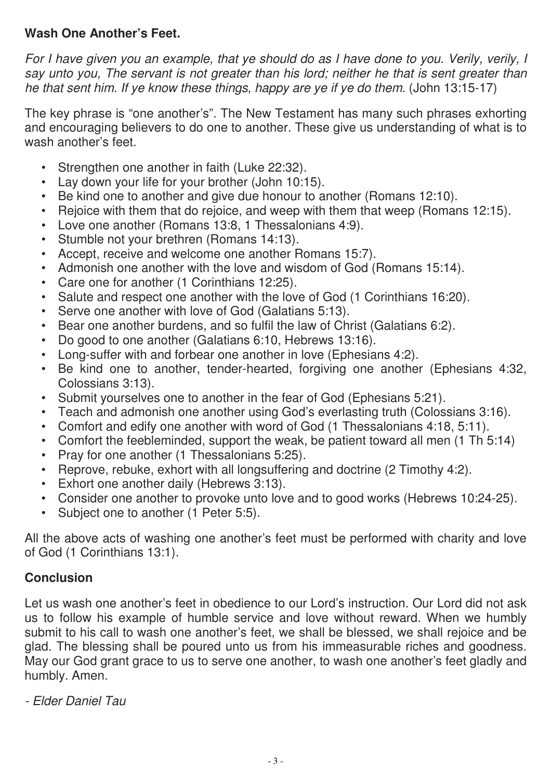## **Wash One Another's Feet.**

*For I have given you an example, that ye should do as I have done to you. Verily, verily, I say unto you, The servant is not greater than his lord; neither he that is sent greater than he that sent him. If ye know these things, happy are ye if ye do them.* (John 13:15-17)

The key phrase is "one another's". The New Testament has many such phrases exhorting and encouraging believers to do one to another. These give us understanding of what is to wash another's feet.

- Strengthen one another in faith (Luke 22:32).
- Lay down your life for your brother (John 10:15).
- Be kind one to another and give due honour to another (Romans 12:10).
- Rejoice with them that do rejoice, and weep with them that weep (Romans 12:15).
- Love one another (Romans 13:8, 1 Thessalonians 4:9).
- Stumble not your brethren (Romans 14:13).
- Accept, receive and welcome one another Romans 15:7).
- Admonish one another with the love and wisdom of God (Romans 15:14).
- Care one for another (1 Corinthians 12:25).
- Salute and respect one another with the love of God (1 Corinthians 16:20).
- Serve one another with love of God (Galatians 5:13).
- Bear one another burdens, and so fulfil the law of Christ (Galatians 6:2).
- Do good to one another (Galatians 6:10, Hebrews 13:16).
- Long-suffer with and forbear one another in love (Ephesians 4:2).
- Be kind one to another, tender-hearted, forgiving one another (Ephesians 4:32, Colossians 3:13).
- Submit yourselves one to another in the fear of God (Ephesians 5:21).
- Teach and admonish one another using God's everlasting truth (Colossians 3:16).
- Comfort and edify one another with word of God (1 Thessalonians 4:18, 5:11).
- Comfort the feebleminded, support the weak, be patient toward all men (1 Th 5:14)
- Pray for one another (1 Thessalonians 5:25).
- Reprove, rebuke, exhort with all longsuffering and doctrine (2 Timothy 4:2).
- Exhort one another daily (Hebrews 3:13).
- Consider one another to provoke unto love and to good works (Hebrews 10:24-25).
- Subject one to another (1 Peter 5:5).

All the above acts of washing one another's feet must be performed with charity and love of God (1 Corinthians 13:1).

## **Conclusion**

Let us wash one another's feet in obedience to our Lord's instruction. Our Lord did not ask us to follow his example of humble service and love without reward. When we humbly submit to his call to wash one another's feet, we shall be blessed, we shall rejoice and be glad. The blessing shall be poured unto us from his immeasurable riches and goodness. May our God grant grace to us to serve one another, to wash one another's feet gladly and humbly. Amen.

*- Elder Daniel Tau*